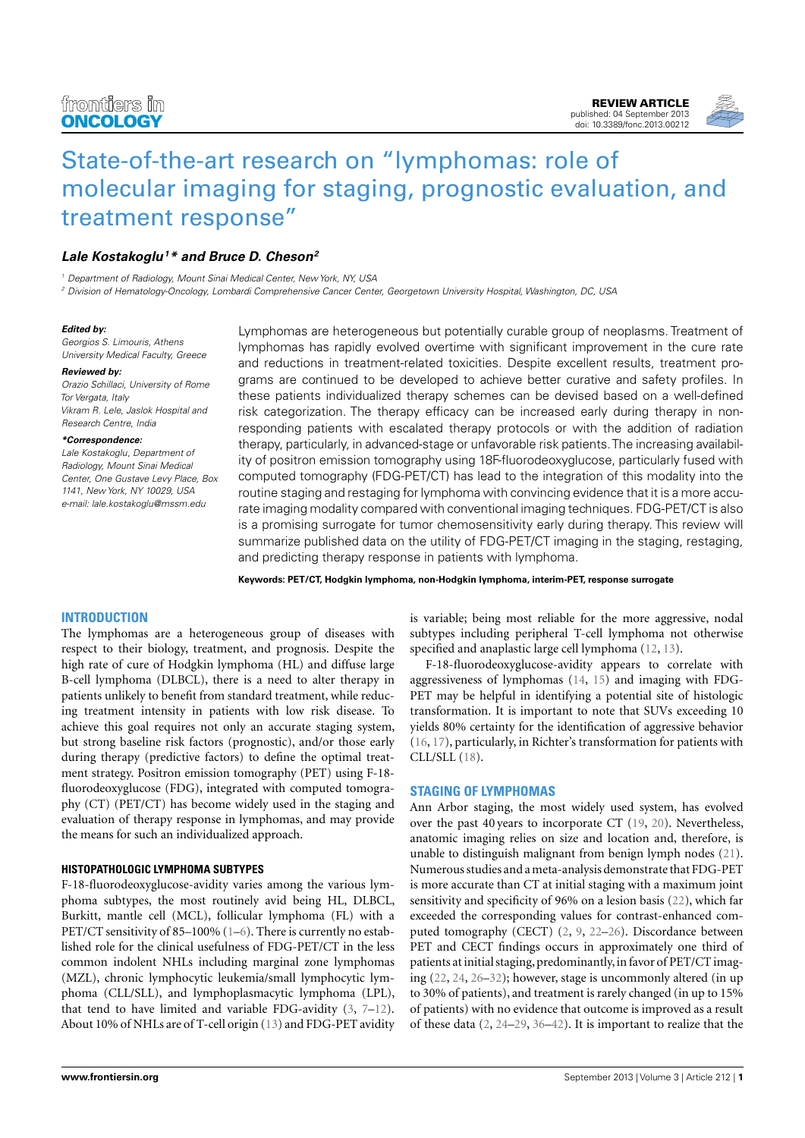

# [State-of-the-art research on "lymphomas: role of](http://www.frontiersin.org/Cancer_Imaging_and_Diagnosis/10.3389/fonc.2013.00212/abstract) [molecular imaging for staging, prognostic evaluation, and](http://www.frontiersin.org/Cancer_Imaging_and_Diagnosis/10.3389/fonc.2013.00212/abstract) [treatment response"](http://www.frontiersin.org/Cancer_Imaging_and_Diagnosis/10.3389/fonc.2013.00212/abstract)

# **[Lale Kostakoglu](http://www.frontiersin.org/Community/WhosWhoActivity.aspx?sname=LaleKostakoglu&UID=87266)<sup>1</sup>\* and [Bruce D. Cheson](http://www.frontiersin.org/Community/WhosWhoActivity.aspx?sname=BruceCheson&UID=87260)<sup>2</sup>**

<sup>1</sup> Department of Radiology, Mount Sinai Medical Center, New York, NY, USA

<sup>2</sup> Division of Hematology-Oncology, Lombardi Comprehensive Cancer Center, Georgetown University Hospital, Washington, DC, USA

#### **Edited by:**

Georgios S. Limouris, Athens University Medical Faculty, Greece

#### **Reviewed by:**

Orazio Schillaci, University of Rome Tor Vergata, Italy Vikram R. Lele, Jaslok Hospital and Research Centre, India

#### **\*Correspondence:**

Lale Kostakoglu, Department of Radiology, Mount Sinai Medical Center, One Gustave Levy Place, Box 1141, New York, NY 10029, USA e-mail: [lale.kostakoglu@mssm.edu](mailto:lale.kostakoglu@mssm.edu)

Lymphomas are heterogeneous but potentially curable group of neoplasms. Treatment of lymphomas has rapidly evolved overtime with significant improvement in the cure rate and reductions in treatment-related toxicities. Despite excellent results, treatment programs are continued to be developed to achieve better curative and safety profiles. In these patients individualized therapy schemes can be devised based on a well-defined risk categorization. The therapy efficacy can be increased early during therapy in nonresponding patients with escalated therapy protocols or with the addition of radiation therapy, particularly, in advanced-stage or unfavorable risk patients.The increasing availability of positron emission tomography using 18F-fluorodeoxyglucose, particularly fused with computed tomography (FDG-PET/CT) has lead to the integration of this modality into the routine staging and restaging for lymphoma with convincing evidence that it is a more accurate imaging modality compared with conventional imaging techniques. FDG-PET/CT is also is a promising surrogate for tumor chemosensitivity early during therapy. This review will summarize published data on the utility of FDG-PET/CT imaging in the staging, restaging, and predicting therapy response in patients with lymphoma.

**Keywords: PET/CT, Hodgkin lymphoma, non-Hodgkin lymphoma, interim-PET, response surrogate**

## **INTRODUCTION**

The lymphomas are a heterogeneous group of diseases with respect to their biology, treatment, and prognosis. Despite the high rate of cure of Hodgkin lymphoma (HL) and diffuse large B-cell lymphoma (DLBCL), there is a need to alter therapy in patients unlikely to benefit from standard treatment, while reducing treatment intensity in patients with low risk disease. To achieve this goal requires not only an accurate staging system, but strong baseline risk factors (prognostic), and/or those early during therapy (predictive factors) to define the optimal treatment strategy. Positron emission tomography (PET) using F-18 fluorodeoxyglucose (FDG), integrated with computed tomography (CT) (PET/CT) has become widely used in the staging and evaluation of therapy response in lymphomas, and may provide the means for such an individualized approach.

## **HISTOPATHOLOGIC LYMPHOMA SUBTYPES**

F-18-fluorodeoxyglucose-avidity varies among the various lymphoma subtypes, the most routinely avid being HL, DLBCL, Burkitt, mantle cell (MCL), follicular lymphoma (FL) with a PET/CT sensitivity of 85–100% [\(1–](#page-4-0)[6\)](#page-4-1). There is currently no established role for the clinical usefulness of FDG-PET/CT in the less common indolent NHLs including marginal zone lymphomas (MZL), chronic lymphocytic leukemia/small lymphocytic lymphoma (CLL/SLL), and lymphoplasmacytic lymphoma (LPL), that tend to have limited and variable FDG-avidity  $(3, 7-12)$  $(3, 7-12)$  $(3, 7-12)$  $(3, 7-12)$ . About 10% of NHLs are of T-cell origin [\(13\)](#page-4-5) and FDG-PET avidity

is variable; being most reliable for the more aggressive, nodal subtypes including peripheral T-cell lymphoma not otherwise specified and anaplastic large cell lymphoma [\(12,](#page-4-4) [13\)](#page-4-5).

F-18-fluorodeoxyglucose-avidity appears to correlate with aggressiveness of lymphomas [\(14,](#page-4-6) [15\)](#page-4-7) and imaging with FDG-PET may be helpful in identifying a potential site of histologic transformation. It is important to note that SUVs exceeding 10 yields 80% certainty for the identification of aggressive behavior [\(16,](#page-4-8) [17\)](#page-4-9), particularly, in Richter's transformation for patients with CLL/SLL [\(18\)](#page-5-0).

## **STAGING OF LYMPHOMAS**

Ann Arbor staging, the most widely used system, has evolved over the past 40 years to incorporate CT [\(19,](#page-5-1) [20\)](#page-5-2). Nevertheless, anatomic imaging relies on size and location and, therefore, is unable to distinguish malignant from benign lymph nodes [\(21\)](#page-5-3). Numerous studies and a meta-analysis demonstrate that FDG-PET is more accurate than CT at initial staging with a maximum joint sensitivity and specificity of 96% on a lesion basis [\(22\)](#page-5-4), which far exceeded the corresponding values for contrast-enhanced computed tomography (CECT) [\(2,](#page-4-10) [9,](#page-4-11) [22](#page-5-4)[–26\)](#page-5-5). Discordance between PET and CECT findings occurs in approximately one third of patients at initial staging, predominantly, in favor of PET/CT imaging [\(22,](#page-5-4) [24,](#page-5-6) [26](#page-5-5)[–32\)](#page-5-7); however, stage is uncommonly altered (in up to 30% of patients), and treatment is rarely changed (in up to 15% of patients) with no evidence that outcome is improved as a result of these data [\(2,](#page-4-10) [24–](#page-5-6)[29,](#page-5-8) [36](#page-5-9)[–42\)](#page-5-10). It is important to realize that the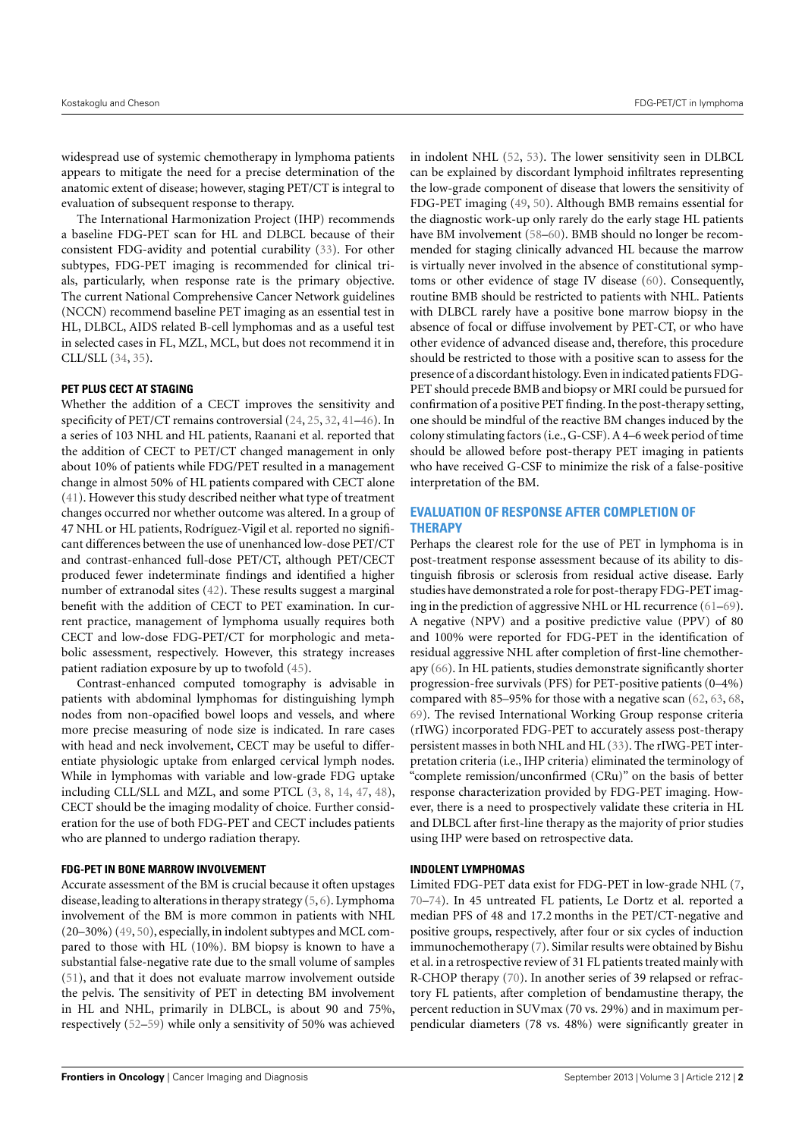widespread use of systemic chemotherapy in lymphoma patients appears to mitigate the need for a precise determination of the anatomic extent of disease; however, staging PET/CT is integral to evaluation of subsequent response to therapy.

The International Harmonization Project (IHP) recommends a baseline FDG-PET scan for HL and DLBCL because of their consistent FDG-avidity and potential curability [\(33\)](#page-5-11). For other subtypes, FDG-PET imaging is recommended for clinical trials, particularly, when response rate is the primary objective. The current National Comprehensive Cancer Network guidelines (NCCN) recommend baseline PET imaging as an essential test in HL, DLBCL, AIDS related B-cell lymphomas and as a useful test in selected cases in FL, MZL, MCL, but does not recommend it in CLL/SLL [\(34,](#page-5-12) [35\)](#page-5-13).

## **PET PLUS CECT AT STAGING**

Whether the addition of a CECT improves the sensitivity and specificity of PET/CT remains controversial [\(24,](#page-5-6) [25,](#page-5-14) [32,](#page-5-7) [41](#page-5-15)[–46\)](#page-5-16). In a series of 103 NHL and HL patients, Raanani et al. reported that the addition of CECT to PET/CT changed management in only about 10% of patients while FDG/PET resulted in a management change in almost 50% of HL patients compared with CECT alone [\(41\)](#page-5-15). However this study described neither what type of treatment changes occurred nor whether outcome was altered. In a group of 47 NHL or HL patients, Rodríguez-Vigil et al. reported no significant differences between the use of unenhanced low-dose PET/CT and contrast-enhanced full-dose PET/CT, although PET/CECT produced fewer indeterminate findings and identified a higher number of extranodal sites [\(42\)](#page-5-10). These results suggest a marginal benefit with the addition of CECT to PET examination. In current practice, management of lymphoma usually requires both CECT and low-dose FDG-PET/CT for morphologic and metabolic assessment, respectively. However, this strategy increases patient radiation exposure by up to twofold [\(45\)](#page-5-17).

Contrast-enhanced computed tomography is advisable in patients with abdominal lymphomas for distinguishing lymph nodes from non-opacified bowel loops and vessels, and where more precise measuring of node size is indicated. In rare cases with head and neck involvement, CECT may be useful to differentiate physiologic uptake from enlarged cervical lymph nodes. While in lymphomas with variable and low-grade FDG uptake including CLL/SLL and MZL, and some PTCL [\(3,](#page-4-2) [8,](#page-4-12) [14,](#page-4-6) [47,](#page-5-18) [48\)](#page-5-19), CECT should be the imaging modality of choice. Further consideration for the use of both FDG-PET and CECT includes patients who are planned to undergo radiation therapy.

## **FDG-PET IN BONE MARROW INVOLVEMENT**

Accurate assessment of the BM is crucial because it often upstages disease, leading to alterations in therapy strategy [\(5,](#page-4-13) [6\)](#page-4-1). Lymphoma involvement of the BM is more common in patients with NHL (20–30%) [\(49,](#page-5-20) [50\)](#page-5-21), especially, in indolent subtypes and MCL compared to those with HL (10%). BM biopsy is known to have a substantial false-negative rate due to the small volume of samples [\(51\)](#page-5-22), and that it does not evaluate marrow involvement outside the pelvis. The sensitivity of PET in detecting BM involvement in HL and NHL, primarily in DLBCL, is about 90 and 75%, respectively [\(52](#page-6-0)[–59\)](#page-6-1) while only a sensitivity of 50% was achieved

in indolent NHL [\(52,](#page-6-0) [53\)](#page-6-2). The lower sensitivity seen in DLBCL can be explained by discordant lymphoid infiltrates representing the low-grade component of disease that lowers the sensitivity of FDG-PET imaging [\(49,](#page-5-20) [50\)](#page-5-21). Although BMB remains essential for the diagnostic work-up only rarely do the early stage HL patients have BM involvement [\(58–](#page-6-3)[60\)](#page-6-4). BMB should no longer be recommended for staging clinically advanced HL because the marrow is virtually never involved in the absence of constitutional symptoms or other evidence of stage IV disease [\(60\)](#page-6-4). Consequently, routine BMB should be restricted to patients with NHL. Patients with DLBCL rarely have a positive bone marrow biopsy in the absence of focal or diffuse involvement by PET-CT, or who have other evidence of advanced disease and, therefore, this procedure should be restricted to those with a positive scan to assess for the presence of a discordant histology. Even in indicated patients FDG-PET should precede BMB and biopsy or MRI could be pursued for confirmation of a positive PET finding. In the post-therapy setting, one should be mindful of the reactive BM changes induced by the colony stimulating factors (i.e., G-CSF). A 4–6 week period of time should be allowed before post-therapy PET imaging in patients who have received G-CSF to minimize the risk of a false-positive interpretation of the BM.

# **EVALUATION OF RESPONSE AFTER COMPLETION OF THERAPY**

Perhaps the clearest role for the use of PET in lymphoma is in post-treatment response assessment because of its ability to distinguish fibrosis or sclerosis from residual active disease. Early studies have demonstrated a role for post-therapy FDG-PET imaging in the prediction of aggressive NHL or HL recurrence [\(61](#page-6-5)[–69\)](#page-6-6). A negative (NPV) and a positive predictive value (PPV) of 80 and 100% were reported for FDG-PET in the identification of residual aggressive NHL after completion of first-line chemotherapy [\(66\)](#page-6-7). In HL patients, studies demonstrate significantly shorter progression-free survivals (PFS) for PET-positive patients (0–4%) compared with 85–95% for those with a negative scan [\(62,](#page-6-8) [63,](#page-6-9) [68,](#page-6-10) [69\)](#page-6-6). The revised International Working Group response criteria (rIWG) incorporated FDG-PET to accurately assess post-therapy persistent masses in both NHL and HL [\(33\)](#page-5-11). The rIWG-PET interpretation criteria (i.e., IHP criteria) eliminated the terminology of "complete remission/unconfirmed (CRu)" on the basis of better response characterization provided by FDG-PET imaging. However, there is a need to prospectively validate these criteria in HL and DLBCL after first-line therapy as the majority of prior studies using IHP were based on retrospective data.

## **INDOLENT LYMPHOMAS**

Limited FDG-PET data exist for FDG-PET in low-grade NHL [\(7,](#page-4-3) [70](#page-6-11)[–74\)](#page-6-12). In 45 untreated FL patients, Le Dortz et al. reported a median PFS of 48 and 17.2 months in the PET/CT-negative and positive groups, respectively, after four or six cycles of induction immunochemotherapy [\(7\)](#page-4-3). Similar results were obtained by Bishu et al. in a retrospective review of 31 FL patients treated mainly with R-CHOP therapy [\(70\)](#page-6-11). In another series of 39 relapsed or refractory FL patients, after completion of bendamustine therapy, the percent reduction in SUVmax (70 vs. 29%) and in maximum perpendicular diameters (78 vs. 48%) were significantly greater in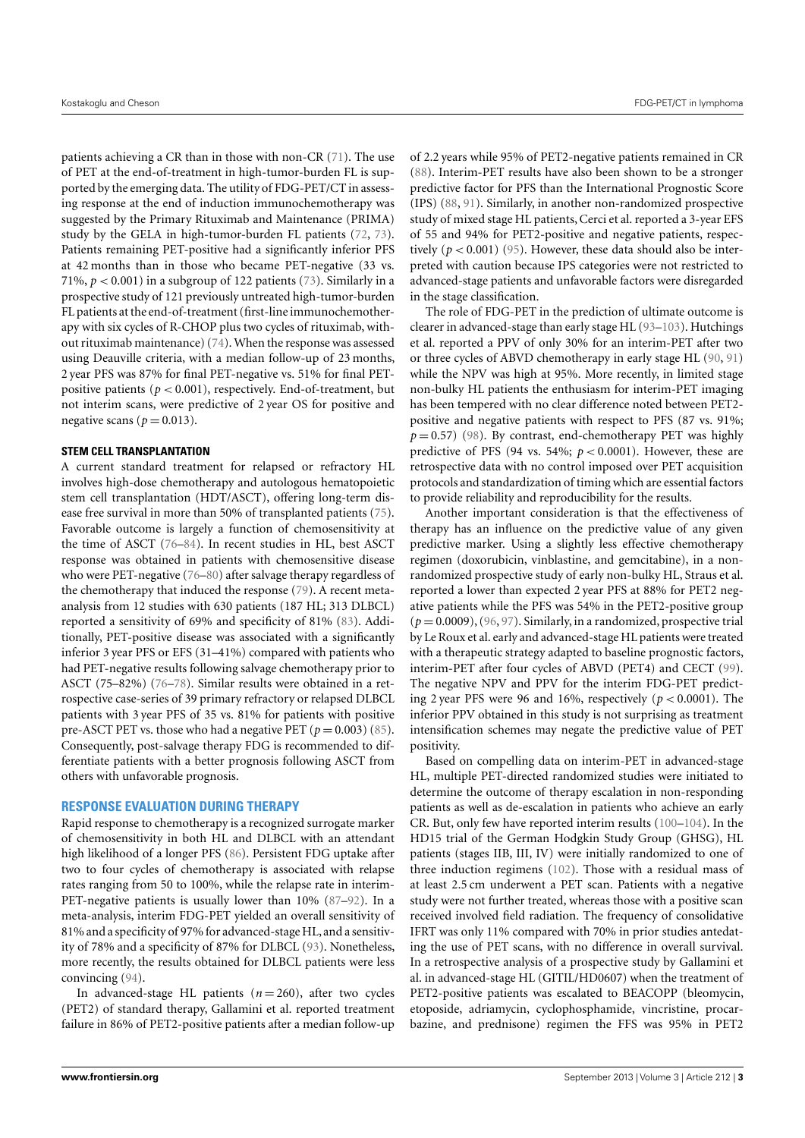patients achieving a CR than in those with non-CR [\(71\)](#page-6-13). The use of PET at the end-of-treatment in high-tumor-burden FL is supported by the emerging data. The utility of FDG-PET/CT in assessing response at the end of induction immunochemotherapy was suggested by the Primary Rituximab and Maintenance (PRIMA) study by the GELA in high-tumor-burden FL patients [\(72,](#page-6-14) [73\)](#page-6-15). Patients remaining PET-positive had a significantly inferior PFS at 42 months than in those who became PET-negative (33 vs. 71%,  $p < 0.001$ ) in a subgroup of 122 patients [\(73\)](#page-6-15). Similarly in a prospective study of 121 previously untreated high-tumor-burden FL patients at the end-of-treatment (first-line immunochemotherapy with six cycles of R-CHOP plus two cycles of rituximab, without rituximab maintenance) [\(74\)](#page-6-12). When the response was assessed using Deauville criteria, with a median follow-up of 23 months, 2 year PFS was 87% for final PET-negative vs. 51% for final PETpositive patients ( $p < 0.001$ ), respectively. End-of-treatment, but not interim scans, were predictive of 2 year OS for positive and negative scans ( $p = 0.013$ ).

## **STEM CELL TRANSPLANTATION**

A current standard treatment for relapsed or refractory HL involves high-dose chemotherapy and autologous hematopoietic stem cell transplantation (HDT/ASCT), offering long-term disease free survival in more than 50% of transplanted patients [\(75\)](#page-6-16). Favorable outcome is largely a function of chemosensitivity at the time of ASCT [\(76–](#page-6-17)[84\)](#page-7-0). In recent studies in HL, best ASCT response was obtained in patients with chemosensitive disease who were PET-negative [\(76–](#page-6-17)[80\)](#page-6-18) after salvage therapy regardless of the chemotherapy that induced the response [\(79\)](#page-6-19). A recent metaanalysis from 12 studies with 630 patients (187 HL; 313 DLBCL) reported a sensitivity of 69% and specificity of 81% [\(83\)](#page-7-1). Additionally, PET-positive disease was associated with a significantly inferior 3 year PFS or EFS (31–41%) compared with patients who had PET-negative results following salvage chemotherapy prior to ASCT (75–82%) [\(76–](#page-6-17)[78\)](#page-6-20). Similar results were obtained in a retrospective case-series of 39 primary refractory or relapsed DLBCL patients with 3 year PFS of 35 vs. 81% for patients with positive pre-ASCT PET vs. those who had a negative PET  $(p = 0.003)$  [\(85\)](#page-7-2). Consequently, post-salvage therapy FDG is recommended to differentiate patients with a better prognosis following ASCT from others with unfavorable prognosis.

## **RESPONSE EVALUATION DURING THERAPY**

Rapid response to chemotherapy is a recognized surrogate marker of chemosensitivity in both HL and DLBCL with an attendant high likelihood of a longer PFS [\(86\)](#page-7-3). Persistent FDG uptake after two to four cycles of chemotherapy is associated with relapse rates ranging from 50 to 100%, while the relapse rate in interim-PET-negative patients is usually lower than 10% [\(87](#page-7-4)[–92\)](#page-7-5). In a meta-analysis, interim FDG-PET yielded an overall sensitivity of 81% and a specificity of 97% for advanced-stage HL, and a sensitivity of 78% and a specificity of 87% for DLBCL [\(93\)](#page-7-6). Nonetheless, more recently, the results obtained for DLBCL patients were less convincing [\(94\)](#page-7-7).

In advanced-stage HL patients  $(n = 260)$ , after two cycles (PET2) of standard therapy, Gallamini et al. reported treatment failure in 86% of PET2-positive patients after a median follow-up

of 2.2 years while 95% of PET2-negative patients remained in CR [\(88\)](#page-7-8). Interim-PET results have also been shown to be a stronger predictive factor for PFS than the International Prognostic Score (IPS) [\(88,](#page-7-8) [91\)](#page-7-9). Similarly, in another non-randomized prospective study of mixed stage HL patients, Cerci et al. reported a 3-year EFS of 55 and 94% for PET2-positive and negative patients, respectively  $(p < 0.001)$  [\(95\)](#page-7-10). However, these data should also be interpreted with caution because IPS categories were not restricted to advanced-stage patients and unfavorable factors were disregarded in the stage classification.

The role of FDG-PET in the prediction of ultimate outcome is clearer in advanced-stage than early stage HL [\(93–](#page-7-6)[103\)](#page-7-11). Hutchings et al. reported a PPV of only 30% for an interim-PET after two or three cycles of ABVD chemotherapy in early stage HL [\(90,](#page-7-12) [91\)](#page-7-9) while the NPV was high at 95%. More recently, in limited stage non-bulky HL patients the enthusiasm for interim-PET imaging has been tempered with no clear difference noted between PET2 positive and negative patients with respect to PFS (87 vs. 91%;  $p = 0.57$ ) [\(98\)](#page-7-13). By contrast, end-chemotherapy PET was highly predictive of PFS (94 vs. 54%;  $p < 0.0001$ ). However, these are retrospective data with no control imposed over PET acquisition protocols and standardization of timing which are essential factors to provide reliability and reproducibility for the results.

Another important consideration is that the effectiveness of therapy has an influence on the predictive value of any given predictive marker. Using a slightly less effective chemotherapy regimen (doxorubicin, vinblastine, and gemcitabine), in a nonrandomized prospective study of early non-bulky HL, Straus et al. reported a lower than expected 2 year PFS at 88% for PET2 negative patients while the PFS was 54% in the PET2-positive group  $(p=0.0009)$ ,  $(96, 97)$  $(96, 97)$  $(96, 97)$ . Similarly, in a randomized, prospective trial by Le Roux et al. early and advanced-stage HL patients were treated with a therapeutic strategy adapted to baseline prognostic factors, interim-PET after four cycles of ABVD (PET4) and CECT [\(99\)](#page-7-16). The negative NPV and PPV for the interim FDG-PET predicting 2 year PFS were 96 and 16%, respectively (*p* < 0.0001). The inferior PPV obtained in this study is not surprising as treatment intensification schemes may negate the predictive value of PET positivity.

Based on compelling data on interim-PET in advanced-stage HL, multiple PET-directed randomized studies were initiated to determine the outcome of therapy escalation in non-responding patients as well as de-escalation in patients who achieve an early CR. But, only few have reported interim results [\(100–](#page-7-17)[104\)](#page-7-18). In the HD15 trial of the German Hodgkin Study Group (GHSG), HL patients (stages IIB, III, IV) were initially randomized to one of three induction regimens [\(102\)](#page-7-19). Those with a residual mass of at least 2.5 cm underwent a PET scan. Patients with a negative study were not further treated, whereas those with a positive scan received involved field radiation. The frequency of consolidative IFRT was only 11% compared with 70% in prior studies antedating the use of PET scans, with no difference in overall survival. In a retrospective analysis of a prospective study by Gallamini et al. in advanced-stage HL (GITIL/HD0607) when the treatment of PET2-positive patients was escalated to BEACOPP (bleomycin, etoposide, adriamycin, cyclophosphamide, vincristine, procarbazine, and prednisone) regimen the FFS was 95% in PET2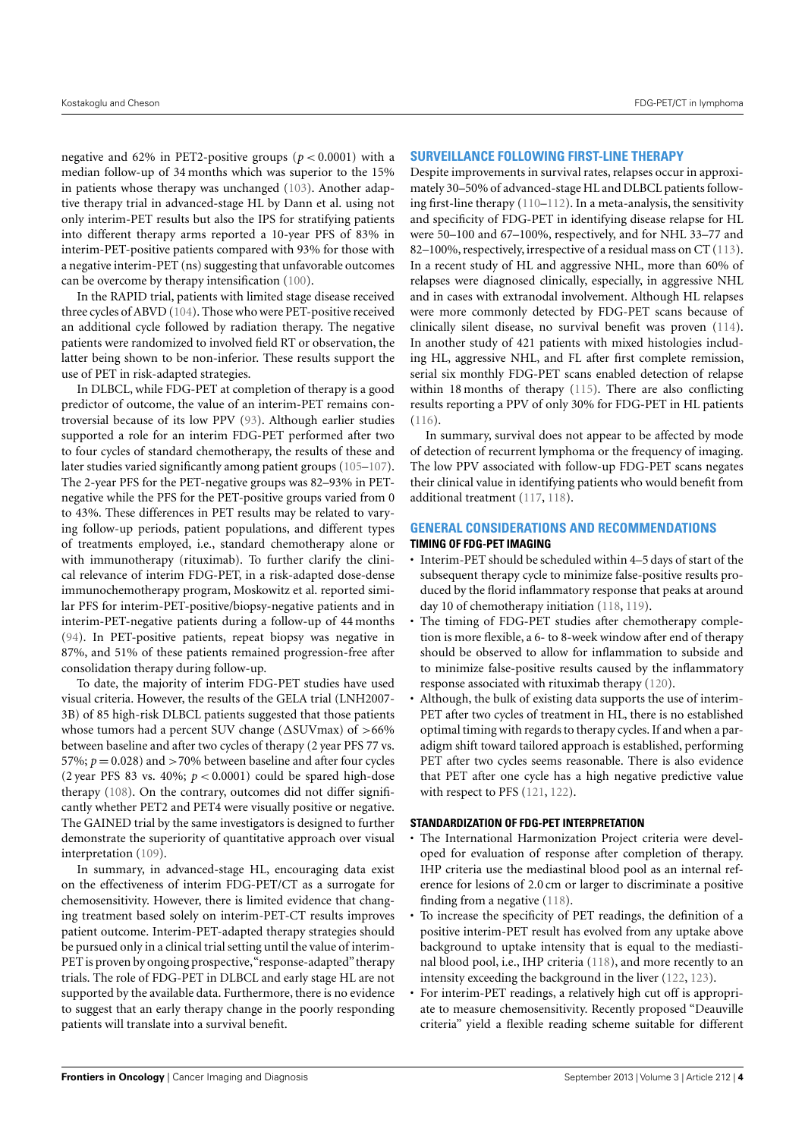negative and 62% in PET2-positive groups ( $p < 0.0001$ ) with a median follow-up of 34 months which was superior to the 15% in patients whose therapy was unchanged [\(103\)](#page-7-11). Another adaptive therapy trial in advanced-stage HL by Dann et al. using not only interim-PET results but also the IPS for stratifying patients into different therapy arms reported a 10-year PFS of 83% in interim-PET-positive patients compared with 93% for those with a negative interim-PET (ns) suggesting that unfavorable outcomes can be overcome by therapy intensification [\(100\)](#page-7-17).

In the RAPID trial, patients with limited stage disease received three cycles of ABVD [\(104\)](#page-7-18). Those who were PET-positive received an additional cycle followed by radiation therapy. The negative patients were randomized to involved field RT or observation, the latter being shown to be non-inferior. These results support the use of PET in risk-adapted strategies.

In DLBCL, while FDG-PET at completion of therapy is a good predictor of outcome, the value of an interim-PET remains controversial because of its low PPV [\(93\)](#page-7-6). Although earlier studies supported a role for an interim FDG-PET performed after two to four cycles of standard chemotherapy, the results of these and later studies varied significantly among patient groups [\(105–](#page-7-20)[107\)](#page-7-21). The 2-year PFS for the PET-negative groups was 82–93% in PETnegative while the PFS for the PET-positive groups varied from 0 to 43%. These differences in PET results may be related to varying follow-up periods, patient populations, and different types of treatments employed, i.e., standard chemotherapy alone or with immunotherapy (rituximab). To further clarify the clinical relevance of interim FDG-PET, in a risk-adapted dose-dense immunochemotherapy program, Moskowitz et al. reported similar PFS for interim-PET-positive/biopsy-negative patients and in interim-PET-negative patients during a follow-up of 44 months [\(94\)](#page-7-7). In PET-positive patients, repeat biopsy was negative in 87%, and 51% of these patients remained progression-free after consolidation therapy during follow-up.

To date, the majority of interim FDG-PET studies have used visual criteria. However, the results of the GELA trial (LNH2007- 3B) of 85 high-risk DLBCL patients suggested that those patients whose tumors had a percent SUV change (∆SUVmax) of >66% between baseline and after two cycles of therapy (2 year PFS 77 vs. 57%;  $p = 0.028$ ) and >70% between baseline and after four cycles (2 year PFS 83 vs. 40%;  $p < 0.0001$ ) could be spared high-dose therapy [\(108\)](#page-7-22). On the contrary, outcomes did not differ significantly whether PET2 and PET4 were visually positive or negative. The GAINED trial by the same investigators is designed to further demonstrate the superiority of quantitative approach over visual interpretation [\(109\)](#page-7-23).

In summary, in advanced-stage HL, encouraging data exist on the effectiveness of interim FDG-PET/CT as a surrogate for chemosensitivity. However, there is limited evidence that changing treatment based solely on interim-PET-CT results improves patient outcome. Interim-PET-adapted therapy strategies should be pursued only in a clinical trial setting until the value of interim-PET is proven by ongoing prospective, "response-adapted" therapy trials. The role of FDG-PET in DLBCL and early stage HL are not supported by the available data. Furthermore, there is no evidence to suggest that an early therapy change in the poorly responding patients will translate into a survival benefit.

## **SURVEILLANCE FOLLOWING FIRST-LINE THERAPY**

Despite improvements in survival rates, relapses occur in approximately 30–50% of advanced-stage HL and DLBCL patients following first-line therapy [\(110–](#page-7-24)[112\)](#page-8-0). In a meta-analysis, the sensitivity and specificity of FDG-PET in identifying disease relapse for HL were 50–100 and 67–100%, respectively, and for NHL 33–77 and 82–100%, respectively, irrespective of a residual mass on CT [\(113\)](#page-8-1). In a recent study of HL and aggressive NHL, more than 60% of relapses were diagnosed clinically, especially, in aggressive NHL and in cases with extranodal involvement. Although HL relapses were more commonly detected by FDG-PET scans because of clinically silent disease, no survival benefit was proven [\(114\)](#page-8-2). In another study of 421 patients with mixed histologies including HL, aggressive NHL, and FL after first complete remission, serial six monthly FDG-PET scans enabled detection of relapse within 18 months of therapy [\(115\)](#page-8-3). There are also conflicting results reporting a PPV of only 30% for FDG-PET in HL patients [\(116\)](#page-8-4).

In summary, survival does not appear to be affected by mode of detection of recurrent lymphoma or the frequency of imaging. The low PPV associated with follow-up FDG-PET scans negates their clinical value in identifying patients who would benefit from additional treatment [\(117,](#page-8-5) [118\)](#page-8-6).

## **GENERAL CONSIDERATIONS AND RECOMMENDATIONS TIMING OF FDG-PET IMAGING**

- Interim-PET should be scheduled within 4–5 days of start of the subsequent therapy cycle to minimize false-positive results produced by the florid inflammatory response that peaks at around day 10 of chemotherapy initiation [\(118,](#page-8-6) [119\)](#page-8-7).
- The timing of FDG-PET studies after chemotherapy completion is more flexible, a 6- to 8-week window after end of therapy should be observed to allow for inflammation to subside and to minimize false-positive results caused by the inflammatory response associated with rituximab therapy [\(120\)](#page-8-8).
- Although, the bulk of existing data supports the use of interim-PET after two cycles of treatment in HL, there is no established optimal timing with regards to therapy cycles. If and when a paradigm shift toward tailored approach is established, performing PET after two cycles seems reasonable. There is also evidence that PET after one cycle has a high negative predictive value with respect to PFS [\(121,](#page-8-9) [122\)](#page-8-10).

## **STANDARDIZATION OF FDG-PET INTERPRETATION**

- The International Harmonization Project criteria were developed for evaluation of response after completion of therapy. IHP criteria use the mediastinal blood pool as an internal reference for lesions of 2.0 cm or larger to discriminate a positive finding from a negative [\(118\)](#page-8-6).
- To increase the specificity of PET readings, the definition of a positive interim-PET result has evolved from any uptake above background to uptake intensity that is equal to the mediastinal blood pool, i.e., IHP criteria [\(118\)](#page-8-6), and more recently to an intensity exceeding the background in the liver [\(122,](#page-8-10) [123\)](#page-8-11).
- For interim-PET readings, a relatively high cut off is appropriate to measure chemosensitivity. Recently proposed "Deauville criteria" yield a flexible reading scheme suitable for different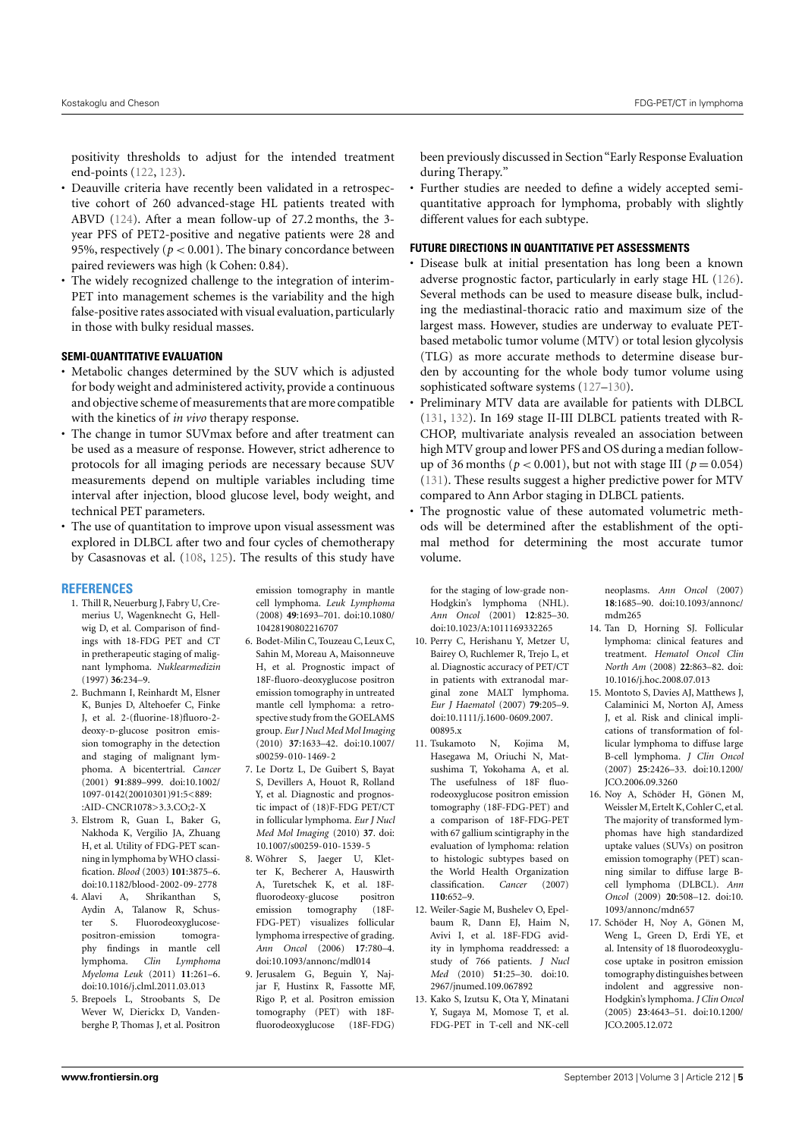positivity thresholds to adjust for the intended treatment end-points [\(122,](#page-8-10) [123\)](#page-8-11).

- Deauville criteria have recently been validated in a retrospective cohort of 260 advanced-stage HL patients treated with ABVD [\(124\)](#page-8-12). After a mean follow-up of 27.2 months, the 3 year PFS of PET2-positive and negative patients were 28 and 95%, respectively ( $p < 0.001$ ). The binary concordance between paired reviewers was high (k Cohen: 0.84).
- The widely recognized challenge to the integration of interim-PET into management schemes is the variability and the high false-positive rates associated with visual evaluation, particularly in those with bulky residual masses.

## **SEMI-QUANTITATIVE EVALUATION**

- Metabolic changes determined by the SUV which is adjusted for body weight and administered activity, provide a continuous and objective scheme of measurements that are more compatible with the kinetics of *in vivo* therapy response.
- The change in tumor SUVmax before and after treatment can be used as a measure of response. However, strict adherence to protocols for all imaging periods are necessary because SUV measurements depend on multiple variables including time interval after injection, blood glucose level, body weight, and technical PET parameters.
- The use of quantitation to improve upon visual assessment was explored in DLBCL after two and four cycles of chemotherapy by Casasnovas et al. [\(108,](#page-7-22) [125\)](#page-8-13). The results of this study have

## **REFERENCES**

- <span id="page-4-0"></span>1. Thill R, Neuerburg J, Fabry U, Cremerius U, Wagenknecht G, Hellwig D, et al. Comparison of findings with 18-FDG PET and CT in pretherapeutic staging of malignant lymphoma. *Nuklearmedizin* (1997) **36**:234–9.
- <span id="page-4-10"></span>2. Buchmann I, Reinhardt M, Elsner K, Bunjes D, Altehoefer C, Finke J, et al. 2-(fluorine-18)fluoro-2 deoxy-p-glucose positron emission tomography in the detection and staging of malignant lymphoma. A bicentertrial. *Cancer* (2001) **91**:889–999. doi[:10.1002/](http://dx.doi.org/10.1002/1097-0142(20010301)91:5<889::AID-CNCR1078>3.3.CO;2-X) [1097-0142\(20010301\)91:5<889:](http://dx.doi.org/10.1002/1097-0142(20010301)91:5<889::AID-CNCR1078>3.3.CO;2-X) [:AID-CNCR1078>3.3.CO;2-X](http://dx.doi.org/10.1002/1097-0142(20010301)91:5<889::AID-CNCR1078>3.3.CO;2-X)
- <span id="page-4-2"></span>3. Elstrom R, Guan L, Baker G, Nakhoda K, Vergilio JA, Zhuang H, et al. Utility of FDG-PET scanning in lymphoma by WHO classification. *Blood* (2003) **101**:3875–6. doi[:10.1182/blood-2002-09-2778](http://dx.doi.org/10.1182/blood-2002-09-2778)
- 4. Alavi A, Shrikanthan S, Aydin A, Talanow R, Schuster S. Fluorodeoxyglucosepositron-emission tomography findings in mantle cell lymphoma. *Clin Lymphoma Myeloma Leuk* (2011) **11**:261–6. doi[:10.1016/j.clml.2011.03.013](http://dx.doi.org/10.1016/j.clml.2011.03.013)
- <span id="page-4-13"></span>5. Brepoels L, Stroobants S, De Wever W, Dierickx D, Vandenberghe P, Thomas J, et al. Positron

emission tomography in mantle cell lymphoma. *Leuk Lymphoma* (2008) **49**:1693–701. doi[:10.1080/](http://dx.doi.org/10.1080/10428190802216707) [10428190802216707](http://dx.doi.org/10.1080/10428190802216707)

- <span id="page-4-1"></span>6. Bodet-Milin C, Touzeau C, Leux C, Sahin M, Moreau A, Maisonneuve H, et al. Prognostic impact of 18F-fluoro-deoxyglucose positron emission tomography in untreated mantle cell lymphoma: a retrospective study from the GOELAMS group. *Eur J Nucl Med Mol Imaging* (2010) **37**:1633–42. doi[:10.1007/](http://dx.doi.org/10.1007/s00259-010-1469-2) [s00259-010-1469-2](http://dx.doi.org/10.1007/s00259-010-1469-2)
- <span id="page-4-3"></span>7. Le Dortz L, De Guibert S, Bayat S, Devillers A, Houot R, Rolland Y, et al. Diagnostic and prognostic impact of (18)F-FDG PET/CT in follicular lymphoma. *Eur J Nucl Med Mol Imaging* (2010) **37**. doi: [10.1007/s00259-010-1539-5](http://dx.doi.org/10.1007/s00259-010-1539-5)
- <span id="page-4-12"></span>8. Wöhrer S, Jaeger U, Kletter K, Becherer A, Hauswirth A, Turetschek K, et al. 18Ffluorodeoxy-glucose emission tomography (18F-FDG-PET) visualizes follicular lymphoma irrespective of grading. *Ann Oncol* (2006) **17**:780–4. doi[:10.1093/annonc/mdl014](http://dx.doi.org/10.1093/annonc/mdl014)
- <span id="page-4-11"></span>9. Jerusalem G, Beguin Y, Najjar F, Hustinx R, Fassotte MF, Rigo P, et al. Positron emission tomography (PET) with 18Ffluorodeoxyglucose (18F-FDG)

been previously discussed in Section"Early Response Evaluation during Therapy."

• Further studies are needed to define a widely accepted semiquantitative approach for lymphoma, probably with slightly different values for each subtype.

## **FUTURE DIRECTIONS IN QUANTITATIVE PET ASSESSMENTS**

- Disease bulk at initial presentation has long been a known adverse prognostic factor, particularly in early stage HL [\(126\)](#page-8-14). Several methods can be used to measure disease bulk, including the mediastinal-thoracic ratio and maximum size of the largest mass. However, studies are underway to evaluate PETbased metabolic tumor volume (MTV) or total lesion glycolysis (TLG) as more accurate methods to determine disease burden by accounting for the whole body tumor volume using sophisticated software systems [\(127](#page-8-15)[–130\)](#page-8-16).
- Preliminary MTV data are available for patients with DLBCL [\(131,](#page-8-17) [132\)](#page-8-18). In 169 stage II-III DLBCL patients treated with R-CHOP, multivariate analysis revealed an association between high MTV group and lower PFS and OS during a median followup of 36 months ( $p < 0.001$ ), but not with stage III ( $p = 0.054$ ) [\(131\)](#page-8-17). These results suggest a higher predictive power for MTV compared to Ann Arbor staging in DLBCL patients.
- The prognostic value of these automated volumetric methods will be determined after the establishment of the optimal method for determining the most accurate tumor volume.

for the staging of low-grade non-Hodgkin's lymphoma (NHL). *Ann Oncol* (2001) **12**:825–30. doi[:10.1023/A:1011169332265](http://dx.doi.org/10.1023/A:1011169332265)

- 10. Perry C, Herishanu Y, Metzer U, Bairey O, Ruchlemer R, Trejo L, et al. Diagnostic accuracy of PET/CT in patients with extranodal marginal zone MALT lymphoma. *Eur J Haematol* (2007) **79**:205–9. doi[:10.1111/j.1600-0609.2007.](http://dx.doi.org/10.1111/j.1600-0609.2007.00895.x) 00895 x
- 11. Tsukamoto N, Kojima M, Hasegawa M, Oriuchi N, Matsushima T, Yokohama A, et al. The usefulness of 18F fluorodeoxyglucose positron emission tomography (18F-FDG-PET) and a comparison of 18F-FDG-PET with 67 gallium scintigraphy in the evaluation of lymphoma: relation to histologic subtypes based on the World Health Organization classification. *Cancer* (2007) **110**:652–9.
- <span id="page-4-4"></span>12. Weiler-Sagie M, Bushelev O, Epelbaum R, Dann EJ, Haim N, Avivi I, et al. 18F-FDG avidity in lymphoma readdressed: a study of 766 patients. *J Nucl Med* (2010) **51**:25–30. doi[:10.](http://dx.doi.org/10.2967/jnumed.109.067892) [2967/jnumed.109.067892](http://dx.doi.org/10.2967/jnumed.109.067892)
- <span id="page-4-5"></span>13. Kako S, Izutsu K, Ota Y, Minatani Y, Sugaya M, Momose T, et al. FDG-PET in T-cell and NK-cell

neoplasms. *Ann Oncol* (2007) **18**:1685–90. doi[:10.1093/annonc/](http://dx.doi.org/10.1093/annonc/mdm265) [mdm265](http://dx.doi.org/10.1093/annonc/mdm265)

- <span id="page-4-6"></span>14. Tan D, Horning SJ. Follicular lymphoma: clinical features and treatment. *Hematol Oncol Clin North Am* (2008) **22**:863–82. doi: [10.1016/j.hoc.2008.07.013](http://dx.doi.org/10.1016/j.hoc.2008.07.013)
- <span id="page-4-7"></span>15. Montoto S, Davies AJ, Matthews J, Calaminici M, Norton AJ, Amess J, et al. Risk and clinical implications of transformation of follicular lymphoma to diffuse large B-cell lymphoma. *J Clin Oncol* (2007) **25**:2426–33. doi[:10.1200/](http://dx.doi.org/10.1200/JCO.2006.09.3260) [JCO.2006.09.3260](http://dx.doi.org/10.1200/JCO.2006.09.3260)
- <span id="page-4-8"></span>16. Noy A, Schöder H, Gönen M, Weissler M, Ertelt K, Cohler C, et al. The majority of transformed lymphomas have high standardized uptake values (SUVs) on positron emission tomography (PET) scanning similar to diffuse large Bcell lymphoma (DLBCL). *Ann Oncol* (2009) **20**:508–12. doi[:10.](http://dx.doi.org/10.1093/annonc/mdn657) [1093/annonc/mdn657](http://dx.doi.org/10.1093/annonc/mdn657)
- <span id="page-4-9"></span>17. Schöder H, Noy A, Gönen M, Weng L, Green D, Erdi YE, et al. Intensity of 18 fluorodeoxyglucose uptake in positron emission tomography distinguishes between indolent and aggressive non-Hodgkin's lymphoma. *J Clin Oncol* (2005) **23**:4643–51. doi[:10.1200/](http://dx.doi.org/10.1200/JCO.2005.12.072) [JCO.2005.12.072](http://dx.doi.org/10.1200/JCO.2005.12.072)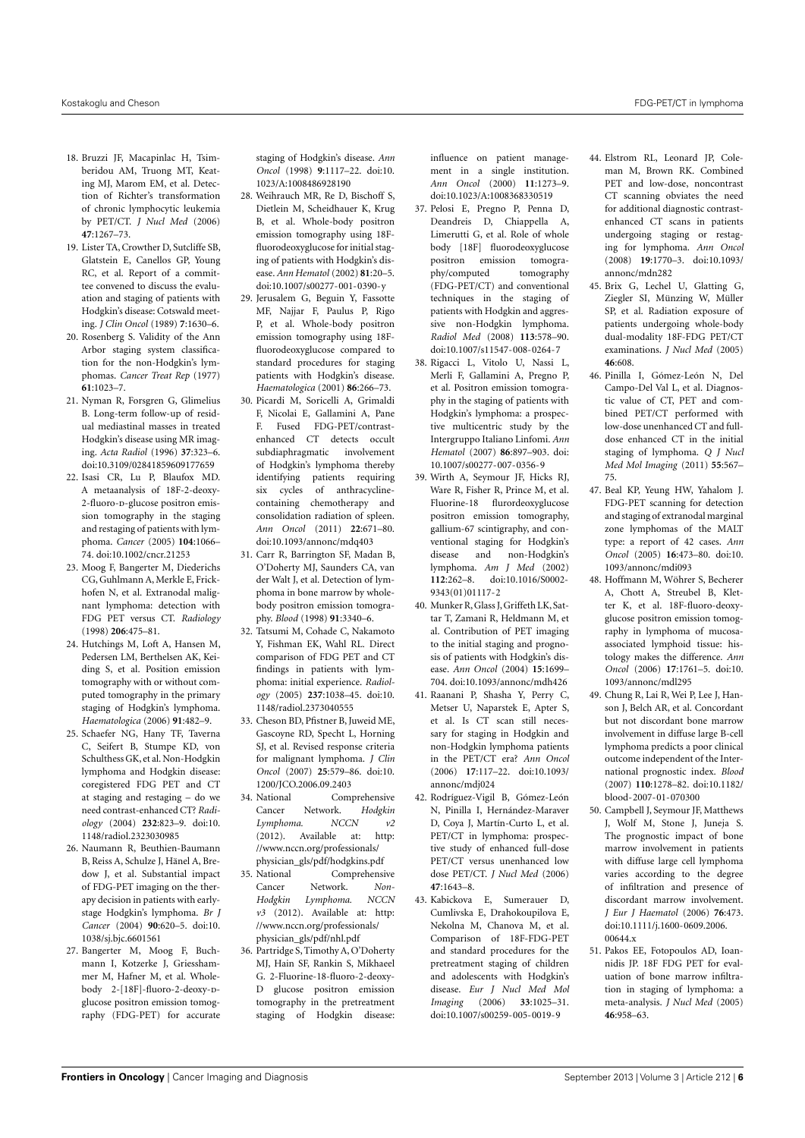- <span id="page-5-0"></span>18. Bruzzi JF, Macapinlac H, Tsimberidou AM, Truong MT, Keating MJ, Marom EM, et al. Detection of Richter's transformation of chronic lymphocytic leukemia by PET/CT. *J Nucl Med* (2006) **47**:1267–73.
- <span id="page-5-1"></span>19. Lister TA, Crowther D, Sutcliffe SB, Glatstein E, Canellos GP, Young RC, et al. Report of a committee convened to discuss the evaluation and staging of patients with Hodgkin's disease: Cotswald meeting. *J Clin Oncol* (1989) **7**:1630–6.
- <span id="page-5-2"></span>20. Rosenberg S. Validity of the Ann Arbor staging system classification for the non-Hodgkin's lymphomas. *Cancer Treat Rep* (1977) **61**:1023–7.
- <span id="page-5-3"></span>21. Nyman R, Forsgren G, Glimelius B. Long-term follow-up of residual mediastinal masses in treated Hodgkin's disease using MR imaging. *Acta Radiol* (1996) **37**:323–6. doi[:10.3109/02841859609177659](http://dx.doi.org/10.3109/02841859609177659)
- <span id="page-5-4"></span>22. Isasi CR, Lu P, Blaufox MD. A metaanalysis of 18F-2-deoxy-2-fluoro-n-glucose positron emission tomography in the staging and restaging of patients with lymphoma. *Cancer* (2005) **104**:1066– 74. doi[:10.1002/cncr.21253](http://dx.doi.org/10.1002/cncr.21253)
- 23. Moog F, Bangerter M, Diederichs CG, Guhlmann A, Merkle E, Frickhofen N, et al. Extranodal malignant lymphoma: detection with FDG PET versus CT. *Radiology* (1998) **206**:475–81.
- <span id="page-5-6"></span>24. Hutchings M, Loft A, Hansen M, Pedersen LM, Berthelsen AK, Keiding S, et al. Position emission tomography with or without computed tomography in the primary staging of Hodgkin's lymphoma. *Haematologica* (2006) **91**:482–9.
- <span id="page-5-14"></span>25. Schaefer NG, Hany TF, Taverna C, Seifert B, Stumpe KD, von Schulthess GK, et al. Non-Hodgkin lymphoma and Hodgkin disease: coregistered FDG PET and CT at staging and restaging – do we need contrast-enhanced CT? *Radiology* (2004) **232**:823–9. doi[:10.](http://dx.doi.org/10.1148/radiol.2323030985) [1148/radiol.2323030985](http://dx.doi.org/10.1148/radiol.2323030985)
- <span id="page-5-5"></span>26. Naumann R, Beuthien-Baumann B, Reiss A, Schulze J, Hänel A, Bredow J, et al. Substantial impact of FDG-PET imaging on the therapy decision in patients with earlystage Hodgkin's lymphoma. *Br J Cancer* (2004) **90**:620–5. doi[:10.](http://dx.doi.org/10.1038/sj.bjc.6601561) [1038/sj.bjc.6601561](http://dx.doi.org/10.1038/sj.bjc.6601561)
- 27. Bangerter M, Moog F, Buchmann I, Kotzerke J, Griesshammer M, Hafner M, et al. Wholebody 2-[18F]-fluoro-2-deoxy-Dglucose positron emission tomography (FDG-PET) for accurate

staging of Hodgkin's disease. *Ann Oncol* (1998) **9**:1117–22. doi[:10.](http://dx.doi.org/10.1023/A:1008486928190) [1023/A:1008486928190](http://dx.doi.org/10.1023/A:1008486928190)

- 28. Weihrauch MR, Re D, Bischoff S, Dietlein M, Scheidhauer K, Krug B, et al. Whole-body positron emission tomography using 18Ffluorodeoxyglucose for initial staging of patients with Hodgkin's disease. *Ann Hematol* (2002) **81**:20–5. doi[:10.1007/s00277-001-0390-y](http://dx.doi.org/10.1007/s00277-001-0390-y)
- <span id="page-5-8"></span>29. Jerusalem G, Beguin Y, Fassotte MF, Najjar F, Paulus P, Rigo P, et al. Whole-body positron emission tomography using 18Ffluorodeoxyglucose compared to standard procedures for staging patients with Hodgkin's disease. *Haematologica* (2001) **86**:266–73.
- 30. Picardi M, Soricelli A, Grimaldi F, Nicolai E, Gallamini A, Pane F. Fused FDG-PET/contrastenhanced CT detects occult subdiaphragmatic involvement of Hodgkin's lymphoma thereby identifying patients requiring six cycles of anthracyclinecontaining chemotherapy and consolidation radiation of spleen. *Ann Oncol* (2011) **22**:671–80. doi[:10.1093/annonc/mdq403](http://dx.doi.org/10.1093/annonc/mdq403)
- 31. Carr R, Barrington SF, Madan B, O'Doherty MJ, Saunders CA, van der Walt J, et al. Detection of lymphoma in bone marrow by wholebody positron emission tomography. *Blood* (1998) **91**:3340–6.
- <span id="page-5-7"></span>32. Tatsumi M, Cohade C, Nakamoto Y, Fishman EK, Wahl RL. Direct comparison of FDG PET and CT findings in patients with lymphoma: initial experience. *Radiology* (2005) **237**:1038–45. doi[:10.](http://dx.doi.org/10.1148/radiol.2373040555) [1148/radiol.2373040555](http://dx.doi.org/10.1148/radiol.2373040555)
- <span id="page-5-11"></span>33. Cheson BD, Pfistner B, Juweid ME, Gascoyne RD, Specht L, Horning SJ, et al. Revised response criteria for malignant lymphoma. *J Clin Oncol* (2007) **25**:579–86. doi[:10.](http://dx.doi.org/10.1200/JCO.2006.09.2403) [1200/JCO.2006.09.2403](http://dx.doi.org/10.1200/JCO.2006.09.2403)
- <span id="page-5-12"></span>34. National Comprehensive Cancer Network. *Hodgkin Lymphoma. NCCN v2* (2012). Available at: [http:](http://www.nccn.org/professionals/physician_gls/pdf/hodgkins.pdf) [//www.nccn.org/professionals/](http://www.nccn.org/professionals/physician_gls/pdf/hodgkins.pdf) [physician\\_gls/pdf/hodgkins.pdf](http://www.nccn.org/professionals/physician_gls/pdf/hodgkins.pdf)
- <span id="page-5-13"></span>35. National Comprehensive Cancer Network. *Non-Hodgkin Lymphoma. NCCN v3* (2012). Available at: [http:](http://www.nccn.org/professionals/physician_gls/pdf/nhl.pdf) [//www.nccn.org/professionals/](http://www.nccn.org/professionals/physician_gls/pdf/nhl.pdf) [physician\\_gls/pdf/nhl.pdf](http://www.nccn.org/professionals/physician_gls/pdf/nhl.pdf)
- <span id="page-5-9"></span>36. Partridge S, Timothy A, O'Doherty MJ, Hain SF, Rankin S, Mikhaeel G. 2-Fluorine-18-fluoro-2-deoxy-D glucose positron emission tomography in the pretreatment staging of Hodgkin disease:

influence on patient management in a single institution. *Ann Oncol* (2000) **11**:1273–9. doi[:10.1023/A:1008368330519](http://dx.doi.org/10.1023/A:1008368330519)

- 37. Pelosi E, Pregno P, Penna D, Deandreis D, Chiappella A, Limerutti G, et al. Role of whole body [18F] fluorodeoxyglucose positron emission tomography/computed tomography (FDG-PET/CT) and conventional techniques in the staging of patients with Hodgkin and aggressive non-Hodgkin lymphoma. *Radiol Med* (2008) **113**:578–90. doi[:10.1007/s11547-008-0264-7](http://dx.doi.org/10.1007/s11547-008-0264-7)
- 38. Rigacci L, Vitolo U, Nassi L, Merli F, Gallamini A, Pregno P, et al. Positron emission tomography in the staging of patients with Hodgkin's lymphoma: a prospective multicentric study by the Intergruppo Italiano Linfomi. *Ann Hematol* (2007) **86**:897–903. doi: [10.1007/s00277-007-0356-9](http://dx.doi.org/10.1007/s00277-007-0356-9)
- 39. Wirth A, Seymour JF, Hicks RJ, Ware R, Fisher R, Prince M, et al. Fluorine-18 flurordeoxyglucose positron emission tomography, gallium-67 scintigraphy, and conventional staging for Hodgkin's disease and non-Hodgkin's lymphoma. *Am J Med* (2002) **112**:262–8. doi[:10.1016/S0002-](http://dx.doi.org/10.1016/S0002-9343(01)01117-2) [9343\(01\)01117-2](http://dx.doi.org/10.1016/S0002-9343(01)01117-2)
- 40. Munker R, Glass J, Griffeth LK, Sattar T, Zamani R, Heldmann M, et al. Contribution of PET imaging to the initial staging and prognosis of patients with Hodgkin's disease. *Ann Oncol* (2004) **15**:1699– 704. doi[:10.1093/annonc/mdh426](http://dx.doi.org/10.1093/annonc/mdh426)
- <span id="page-5-15"></span>41. Raanani P, Shasha Y, Perry C, Metser U, Naparstek E, Apter S, et al. Is CT scan still necessary for staging in Hodgkin and non-Hodgkin lymphoma patients in the PET/CT era? *Ann Oncol* (2006) **17**:117–22. doi[:10.1093/](http://dx.doi.org/10.1093/annonc/mdj024) [annonc/mdj024](http://dx.doi.org/10.1093/annonc/mdj024)
- <span id="page-5-10"></span>42. Rodríguez-Vigil B, Gómez-León N, Pinilla I, Hernández-Maraver D, Coya J, Martín-Curto L, et al. PET/CT in lymphoma: prospective study of enhanced full-dose PET/CT versus unenhanced low dose PET/CT. *J Nucl Med* (2006) **47**:1643–8.
- 43. Kabickova E, Sumerauer D, Cumlivska E, Drahokoupilova E, Nekolna M, Chanova M, et al. Comparison of 18F-FDG-PET and standard procedures for the pretreatment staging of children and adolescents with Hodgkin's disease. *Eur J Nucl Med Mol Imaging* (2006) **33**:1025–31. doi[:10.1007/s00259-005-0019-9](http://dx.doi.org/10.1007/s00259-005-0019-9)
- 44. Elstrom RL, Leonard JP, Coleman M, Brown RK. Combined PET and low-dose, noncontrast CT scanning obviates the need for additional diagnostic contrastenhanced CT scans in patients undergoing staging or restaging for lymphoma. *Ann Oncol* (2008) **19**:1770–3. doi[:10.1093/](http://dx.doi.org/10.1093/annonc/mdn282) [annonc/mdn282](http://dx.doi.org/10.1093/annonc/mdn282)
- <span id="page-5-17"></span>45. Brix G, Lechel U, Glatting G, Ziegler SI, Münzing W, Müller SP, et al. Radiation exposure of patients undergoing whole-body dual-modality 18F-FDG PET/CT examinations. *J Nucl Med* (2005) **46**:608.
- <span id="page-5-16"></span>46. Pinilla I, Gómez-León N, Del Campo-Del Val L, et al. Diagnostic value of CT, PET and combined PET/CT performed with low-dose unenhanced CT and fulldose enhanced CT in the initial staging of lymphoma. *Q J Nucl Med Mol Imaging* (2011) **55**:567– 75.
- <span id="page-5-18"></span>47. Beal KP, Yeung HW, Yahalom J. FDG-PET scanning for detection and staging of extranodal marginal zone lymphomas of the MALT type: a report of 42 cases. *Ann Oncol* (2005) **16**:473–80. doi[:10.](http://dx.doi.org/10.1093/annonc/mdi093) [1093/annonc/mdi093](http://dx.doi.org/10.1093/annonc/mdi093)
- <span id="page-5-19"></span>48. Hoffmann M, Wöhrer S, Becherer A, Chott A, Streubel B, Kletter K, et al. 18F-fluoro-deoxyglucose positron emission tomography in lymphoma of mucosaassociated lymphoid tissue: histology makes the difference. *Ann Oncol* (2006) **17**:1761–5. doi[:10.](http://dx.doi.org/10.1093/annonc/mdl295) [1093/annonc/mdl295](http://dx.doi.org/10.1093/annonc/mdl295)
- <span id="page-5-20"></span>49. Chung R, Lai R, Wei P, Lee J, Hanson J, Belch AR, et al. Concordant but not discordant bone marrow involvement in diffuse large B-cell lymphoma predicts a poor clinical outcome independent of the International prognostic index. *Blood* (2007) **110**:1278–82. doi[:10.1182/](http://dx.doi.org/10.1182/blood-2007-01-070300) [blood-2007-01-070300](http://dx.doi.org/10.1182/blood-2007-01-070300)
- <span id="page-5-21"></span>50. Campbell J, Seymour JE, Matthews J, Wolf M, Stone J, Juneja S. The prognostic impact of bone marrow involvement in patients with diffuse large cell lymphoma varies according to the degree of infiltration and presence of discordant marrow involvement. *J Eur J Haematol* (2006) **76**:473. doi[:10.1111/j.1600-0609.2006.](http://dx.doi.org/10.1111/j.1600-0609.2006.00644.x) [00644.x](http://dx.doi.org/10.1111/j.1600-0609.2006.00644.x)
- <span id="page-5-22"></span>51. Pakos EE, Fotopoulos AD, Ioannidis JP. 18F FDG PET for evaluation of bone marrow infiltration in staging of lymphoma: a meta-analysis. *J Nucl Med* (2005) **46**:958–63.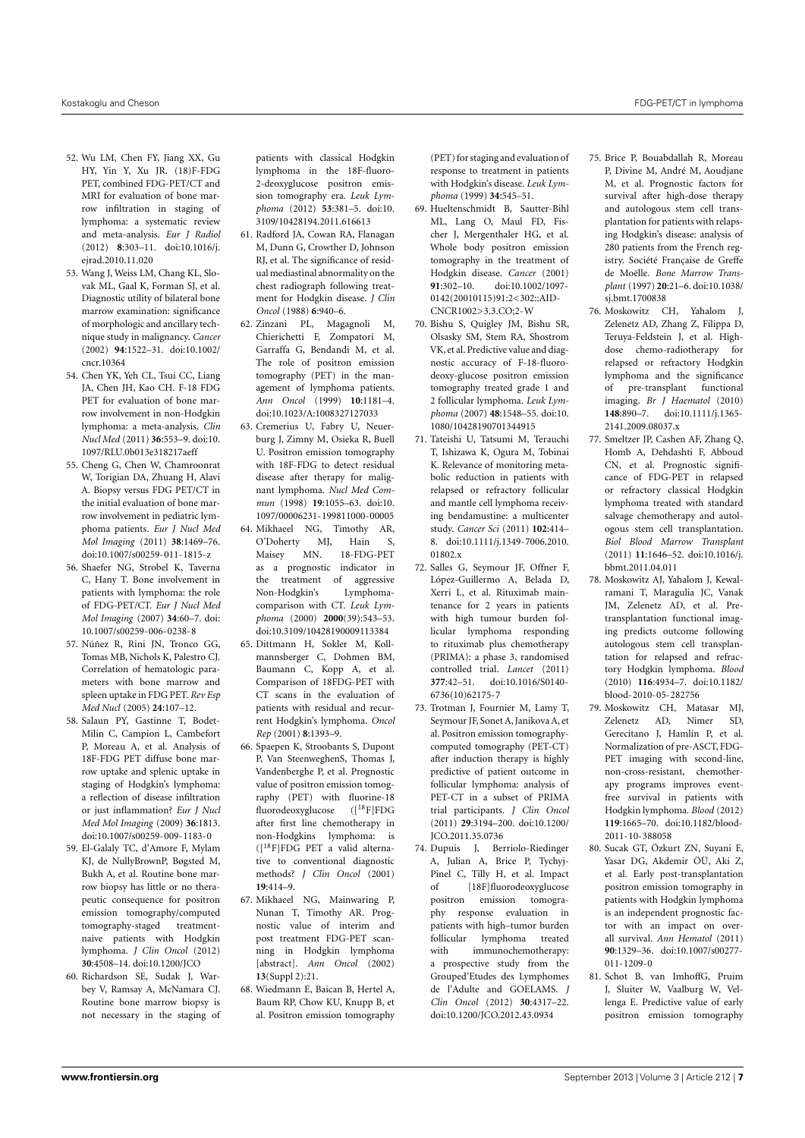- <span id="page-6-0"></span>52. Wu LM, Chen FY, Jiang XX, Gu HY, Yin Y, Xu JR. (18)F-FDG PET, combined FDG-PET/CT and MRI for evaluation of bone marrow infiltration in staging of lymphoma: a systematic review and meta-analysis. *Eur J Radiol* (2012) **8**:303–11. doi[:10.1016/j.](http://dx.doi.org/10.1016/j.ejrad.2010.11.020) [ejrad.2010.11.020](http://dx.doi.org/10.1016/j.ejrad.2010.11.020)
- <span id="page-6-2"></span>53. Wang J, Weiss LM, Chang KL, Slovak ML, Gaal K, Forman SJ, et al. Diagnostic utility of bilateral bone marrow examination: significance of morphologic and ancillary technique study in malignancy. *Cancer* (2002) **94**:1522–31. doi[:10.1002/](http://dx.doi.org/10.1002/cncr.10364) [cncr.10364](http://dx.doi.org/10.1002/cncr.10364)
- 54. Chen YK, Yeh CL, Tsui CC, Liang JA, Chen JH, Kao CH. F-18 FDG PET for evaluation of bone marrow involvement in non-Hodgkin lymphoma: a meta-analysis. *Clin Nucl Med* (2011) **36**:553–9. doi[:10.](http://dx.doi.org/10.1097/RLU.0b013e318217aeff) [1097/RLU.0b013e318217aeff](http://dx.doi.org/10.1097/RLU.0b013e318217aeff)
- 55. Cheng G, Chen W, Chamroonrat W, Torigian DA, Zhuang H, Alavi A. Biopsy versus FDG PET/CT in the initial evaluation of bone marrow involvement in pediatric lymphoma patients. *Eur J Nucl Med Mol Imaging* (2011) **38**:1469–76. doi[:10.1007/s00259-011-1815-z](http://dx.doi.org/10.1007/s00259-011-1815-z)
- 56. Shaefer NG, Strobel K, Taverna C, Hany T. Bone involvement in patients with lymphoma: the role of FDG-PET/CT. *Eur J Nucl Med Mol Imaging* (2007) **34**:60–7. doi: [10.1007/s00259-006-0238-8](http://dx.doi.org/10.1007/s00259-006-0238-8)
- 57. Núñez R, Rini JN, Tronco GG, Tomas MB, Nichols K, Palestro CJ. Correlation of hematologic parameters with bone marrow and spleen uptake in FDG PET. *Rev Esp Med Nucl* (2005) **24**:107–12.
- <span id="page-6-3"></span>58. Salaun PY, Gastinne T, Bodet-Milin C, Campion L, Cambefort P, Moreau A, et al. Analysis of 18F-FDG PET diffuse bone marrow uptake and splenic uptake in staging of Hodgkin's lymphoma: a reflection of disease infiltration or just inflammation? *Eur J Nucl Med Mol Imaging* (2009) **36**:1813. doi[:10.1007/s00259-009-1183-0](http://dx.doi.org/10.1007/s00259-009-1183-0)
- <span id="page-6-1"></span>59. El-Galaly TC, d'Amore F, Mylam KJ, de NullyBrownP, Bøgsted M, Bukh A, et al. Routine bone marrow biopsy has little or no therapeutic consequence for positron emission tomography/computed tomography-staged treatmentnaive patients with Hodgkin lymphoma. *J Clin Oncol* (2012) **30**:4508–14. doi[:10.1200/JCO](http://dx.doi.org/10.1200/JCO)
- <span id="page-6-4"></span>60. Richardson SE, Sudak J, Warbey V, Ramsay A, McNamara CJ. Routine bone marrow biopsy is not necessary in the staging of

patients with classical Hodgkin lymphoma in the 18F-fluoro-2-deoxyglucose positron emission tomography era. *Leuk Lymphoma* (2012) **53**:381–5. doi[:10.](http://dx.doi.org/10.3109/10428194.2011.616613) [3109/10428194.2011.616613](http://dx.doi.org/10.3109/10428194.2011.616613)

- <span id="page-6-5"></span>61. Radford JA, Cowan RA, Flanagan M, Dunn G, Crowther D, Johnson RJ, et al. The significance of residual mediastinal abnormality on the chest radiograph following treatment for Hodgkin disease. *J Clin Oncol* (1988) **6**:940–6.
- <span id="page-6-8"></span>62. Zinzani PL, Magagnoli M, Chierichetti F, Zompatori M, Garraffa G, Bendandi M, et al. The role of positron emission tomography (PET) in the management of lymphoma patients. *Ann Oncol* (1999) **10**:1181–4. doi[:10.1023/A:1008327127033](http://dx.doi.org/10.1023/A:1008327127033)
- <span id="page-6-9"></span>63. Cremerius U, Fabry U, Neuerburg J, Zimny M, Osieka R, Buell U. Positron emission tomography with 18F-FDG to detect residual disease after therapy for malignant lymphoma. *Nucl Med Commun* (1998) **19**:1055–63. doi[:10.](http://dx.doi.org/10.1097/00006231-199811000-00005) [1097/00006231-199811000-00005](http://dx.doi.org/10.1097/00006231-199811000-00005)
- 64. Mikhaeel NG, Timothy AR, O'Doherty MJ, Hain S,<br>Maisey MN. 18-FDG-PET Maisey MN. 18-FDG-PET as a prognostic indicator in the treatment of aggressive Non-Hodgkin's Lymphomacomparison with CT. *Leuk Lymphoma* (2000) **2000**(39):543–53. doi[:10.3109/10428190009113384](http://dx.doi.org/10.3109/10428190009113384)
- 65. Dittmann H, Sokler M, Kollmannsberger C, Dohmen BM, Baumann C, Kopp A, et al. Comparison of 18FDG-PET with CT scans in the evaluation of patients with residual and recurrent Hodgkin's lymphoma. *Oncol Rep* (2001) **8**:1393–9.
- <span id="page-6-7"></span>66. Spaepen K, Stroobants S, Dupont P, Van SteenweghenS, Thomas J, Vandenberghe P, et al. Prognostic value of positron emission tomography (PET) with fluorine-18 fluorodeoxyglucose ([18F]FDG after first line chemotherapy in non-Hodgkins lymphoma: is  $(I^{18}F)FDG$  PET a valid alternative to conventional diagnostic methods? *J Clin Oncol* (2001) **19**:414–9.
- 67. Mikhaeel NG, Mainwaring P, Nunan T, Timothy AR. Prognostic value of interim and post treatment FDG-PET scanning in Hodgkin lymphoma [abstract]. *Ann Oncol* (2002) **13**(Suppl 2):21.
- <span id="page-6-10"></span>68. Wiedmann E, Baican B, Hertel A, Baum RP, Chow KU, Knupp B, et al. Positron emission tomography

(PET) for staging and evaluation of response to treatment in patients with Hodgkin's disease. *Leuk Lymphoma* (1999) **34**:545–51.

- <span id="page-6-6"></span>69. Hueltenschmidt B, Sautter-Bihl ML, Lang O, Maul FD, Fischer J, Mergenthaler HG, et al. Whole body positron emission tomography in the treatment of Hodgkin disease. *Cancer* (2001)<br>**91:**302-10. doi:10.1002/1097-**91**:302–10. doi[:10.1002/1097-](http://dx.doi.org/10.1002/1097-0142(20010115)91:2<302::AID-CNCR1002>3.3.CO;2-W) [0142\(20010115\)91:2<302::AID-](http://dx.doi.org/10.1002/1097-0142(20010115)91:2<302::AID-CNCR1002>3.3.CO;2-W)[CNCR1002>3.3.CO;2-W](http://dx.doi.org/10.1002/1097-0142(20010115)91:2<302::AID-CNCR1002>3.3.CO;2-W)
- <span id="page-6-11"></span>70. Bishu S, Quigley JM, Bishu SR, Olsasky SM, Stem RA, Shostrom VK, et al. Predictive value and diagnostic accuracy of F-18-fluorodeoxy-glucose positron emission tomography treated grade 1 and 2 follicular lymphoma. *Leuk Lymphoma* (2007) **48**:1548–55. doi[:10.](http://dx.doi.org/10.1080/10428190701344915) [1080/10428190701344915](http://dx.doi.org/10.1080/10428190701344915)
- <span id="page-6-13"></span>71. Tateishi U, Tatsumi M, Terauchi T, Ishizawa K, Ogura M, Tobinai K. Relevance of monitoring metabolic reduction in patients with relapsed or refractory follicular and mantle cell lymphoma receiving bendamustine: a multicenter study. *Cancer Sci* (2011) **102**:414– 8. doi[:10.1111/j.1349-7006.2010.](http://dx.doi.org/10.1111/j.1349-7006.2010.01802.x) 01802 x
- <span id="page-6-14"></span>72. Salles G, Seymour JF, Offner F, López-Guillermo A, Belada D, Xerri L, et al. Rituximab maintenance for 2 years in patients with high tumour burden follicular lymphoma responding to rituximab plus chemotherapy (PRIMA): a phase 3, randomised controlled trial. *Lancet* (2011) **377**:42–51. doi[:10.1016/S0140-](http://dx.doi.org/10.1016/S0140-6736(10)62175-7) [6736\(10\)62175-7](http://dx.doi.org/10.1016/S0140-6736(10)62175-7)
- <span id="page-6-15"></span>73. Trotman J, Fournier M, Lamy T, Seymour JF, Sonet A, Janikova A, et al. Positron emission tomographycomputed tomography (PET-CT) after induction therapy is highly predictive of patient outcome in follicular lymphoma: analysis of PET-CT in a subset of PRIMA trial participants. *J Clin Oncol* (2011) **29**:3194–200. doi[:10.1200/](http://dx.doi.org/10.1200/JCO.2011.35.0736) [JCO.2011.35.0736](http://dx.doi.org/10.1200/JCO.2011.35.0736)
- <span id="page-6-12"></span>74. Dupuis J, Berriolo-Riedinger A, Julian A, Brice P, Tychyj-Pinel C, Tilly H, et al. Impact of [18F]fluorodeoxyglucose positron emission tomography response evaluation in patients with high–tumor burden follicular lymphoma treated with immunochemotherapy: a prospective study from the Grouped'Etudes des Lymphomes de l'Adulte and GOELAMS. *J Clin Oncol* (2012) **30**:4317–22. doi[:10.1200/JCO.2012.43.0934](http://dx.doi.org/10.1200/JCO.2012.43.0934)
- <span id="page-6-16"></span>75. Brice P, Bouabdallah R, Moreau P, Divine M, André M, Aoudjane M, et al. Prognostic factors for survival after high-dose therapy and autologous stem cell transplantation for patients with relapsing Hodgkin's disease: analysis of 280 patients from the French registry. Société Française de Greffe de Moëlle. *Bone Marrow Transplant* (1997) **20**:21–6. doi[:10.1038/](http://dx.doi.org/10.1038/sj.bmt.1700838) [sj.bmt.1700838](http://dx.doi.org/10.1038/sj.bmt.1700838)
- <span id="page-6-17"></span>76. Moskowitz CH, Yahalom J, Zelenetz AD, Zhang Z, Filippa D, Teruya-Feldstein J, et al. Highdose chemo-radiotherapy for relapsed or refractory Hodgkin lymphoma and the significance of pre-transplant functional imaging. *Br J Haematol* (2010) **148**:890–7. doi[:10.1111/j.1365-](http://dx.doi.org/10.1111/j.1365-2141.2009.08037.x) [2141.2009.08037.x](http://dx.doi.org/10.1111/j.1365-2141.2009.08037.x)
- 77. Smeltzer JP, Cashen AF, Zhang Q, Homb A, Dehdashti F, Abboud CN, et al. Prognostic significance of FDG-PET in relapsed or refractory classical Hodgkin lymphoma treated with standard salvage chemotherapy and autologous stem cell transplantation. *Biol Blood Marrow Transplant* (2011) **11**:1646–52. doi[:10.1016/j.](http://dx.doi.org/10.1016/j.bbmt.2011.04.011) [bbmt.2011.04.011](http://dx.doi.org/10.1016/j.bbmt.2011.04.011)
- <span id="page-6-20"></span>78. Moskowitz AJ, Yahalom J, Kewalramani T, Maragulia JC, Vanak JM, Zelenetz AD, et al. Pretransplantation functional imaging predicts outcome following autologous stem cell transplantation for relapsed and refractory Hodgkin lymphoma. *Blood* (2010) **116**:4934–7. doi[:10.1182/](http://dx.doi.org/10.1182/blood-2010-05-282756) [blood-2010-05-282756](http://dx.doi.org/10.1182/blood-2010-05-282756)
- <span id="page-6-19"></span>79. Moskowitz CH, Matasar MJ, Zelenetz AD, Nimer SD, Gerecitano J, Hamlin P, et al. Normalization of pre-ASCT, FDG-PET imaging with second-line, non-cross-resistant, chemotherapy programs improves eventfree survival in patients with Hodgkin lymphoma. *Blood* (2012) **119**:1665–70. doi[:10.1182/blood-](http://dx.doi.org/10.1182/blood-2011-10-388058)[2011-10-388058](http://dx.doi.org/10.1182/blood-2011-10-388058)
- <span id="page-6-18"></span>80. Sucak GT, Özkurt ZN, Suyani E, Yasar DG, Akdemir ÖÜ, Aki Z, et al. Early post-transplantation positron emission tomography in patients with Hodgkin lymphoma is an independent prognostic factor with an impact on overall survival. *Ann Hematol* (2011) **90**:1329–36. doi[:10.1007/s00277-](http://dx.doi.org/10.1007/s00277-011-1209-0) [011-1209-0](http://dx.doi.org/10.1007/s00277-011-1209-0)
- 81. Schot B, van ImhoffG, Pruim J, Sluiter W, Vaalburg W, Vellenga E. Predictive value of early positron emission tomography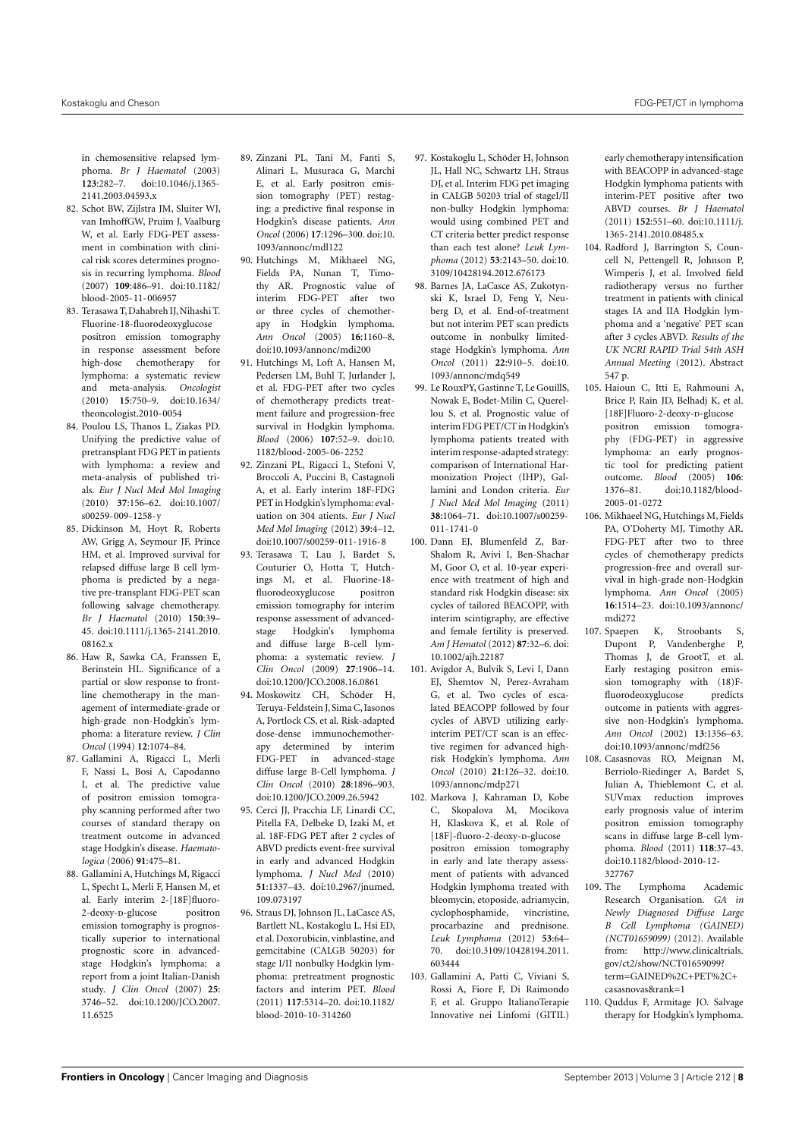in chemosensitive relapsed lymphoma. *Br J Haematol* (2003) **123**:282–7. doi[:10.1046/j.1365-](http://dx.doi.org/10.1046/j.1365-2141.2003.04593.x) [2141.2003.04593.x](http://dx.doi.org/10.1046/j.1365-2141.2003.04593.x)

- 82. Schot BW, Zijlstra JM, Sluiter WJ, van ImhoffGW, Pruim J, Vaalburg W, et al. Early FDG-PET assessment in combination with clinical risk scores determines prognosis in recurring lymphoma. *Blood* (2007) **109**:486–91. doi[:10.1182/](http://dx.doi.org/10.1182/blood-2005-11-006957) [blood-2005-11-006957](http://dx.doi.org/10.1182/blood-2005-11-006957)
- <span id="page-7-1"></span>83. Terasawa T, Dahabreh IJ, Nihashi T. Fluorine-18-fluorodeoxyglucose positron emission tomography in response assessment before high-dose chemotherapy for lymphoma: a systematic review and meta-analysis. *Oncologist* (2010) **15**:750–9. doi[:10.1634/](http://dx.doi.org/10.1634/theoncologist.2010-0054) [theoncologist.2010-0054](http://dx.doi.org/10.1634/theoncologist.2010-0054)
- <span id="page-7-0"></span>84. Poulou LS, Thanos L, Ziakas PD. Unifying the predictive value of pretransplant FDG PET in patients with lymphoma: a review and meta-analysis of published trials. *Eur J Nucl Med Mol Imaging* (2010) **37**:156–62. doi[:10.1007/](http://dx.doi.org/10.1007/s00259-009-1258-y) [s00259-009-1258-y](http://dx.doi.org/10.1007/s00259-009-1258-y)
- <span id="page-7-2"></span>85. Dickinson M, Hoyt R, Roberts AW, Grigg A, Seymour JF, Prince HM, et al. Improved survival for relapsed diffuse large B cell lymphoma is predicted by a negative pre-transplant FDG-PET scan following salvage chemotherapy. *Br J Haematol* (2010) **150**:39– 45. doi[:10.1111/j.1365-2141.2010.](http://dx.doi.org/10.1111/j.1365-2141.2010.08162.x) [08162.x](http://dx.doi.org/10.1111/j.1365-2141.2010.08162.x)
- <span id="page-7-3"></span>86. Haw R, Sawka CA, Franssen E, Berinstein HL. Significance of a partial or slow response to frontline chemotherapy in the management of intermediate-grade or high-grade non-Hodgkin's lymphoma: a literature review. *J Clin Oncol* (1994) **12**:1074–84.
- <span id="page-7-4"></span>87. Gallamini A, Rigacci L, Merli F, Nassi L, Bosi A, Capodanno I, et al. The predictive value of positron emission tomography scanning performed after two courses of standard therapy on treatment outcome in advanced stage Hodgkin's disease. *Haematologica* (2006) **91**:475–81.
- <span id="page-7-8"></span>88. Gallamini A, Hutchings M, Rigacci L, Specht L, Merli F, Hansen M, et al. Early interim 2-[18F]fluoro-2-deoxy-p-glucose positron emission tomography is prognostically superior to international prognostic score in advancedstage Hodgkin's lymphoma: a report from a joint Italian-Danish study. *J Clin Oncol* (2007) **25**: 3746–52. doi[:10.1200/JCO.2007.](http://dx.doi.org/10.1200/JCO.2007.11.6525) [11.6525](http://dx.doi.org/10.1200/JCO.2007.11.6525)
- 89. Zinzani PL, Tani M, Fanti S, Alinari L, Musuraca G, Marchi E, et al. Early positron emission tomography (PET) restaging: a predictive final response in Hodgkin's disease patients. *Ann Oncol* (2006) **17**:1296–300. doi[:10.](http://dx.doi.org/10.1093/annonc/mdl122) [1093/annonc/mdl122](http://dx.doi.org/10.1093/annonc/mdl122)
- <span id="page-7-12"></span>90. Hutchings M, Mikhaeel NG, Fields PA, Nunan T, Timothy AR. Prognostic value of interim FDG-PET after two or three cycles of chemotherapy in Hodgkin lymphoma. *Ann Oncol* (2005) **16**:1160–8. doi[:10.1093/annonc/mdi200](http://dx.doi.org/10.1093/annonc/mdi200)
- <span id="page-7-9"></span>91. Hutchings M, Loft A, Hansen M, Pedersen LM, Buhl T, Jurlander J, et al. FDG-PET after two cycles of chemotherapy predicts treatment failure and progression-free survival in Hodgkin lymphoma. *Blood* (2006) **107**:52–9. doi[:10.](http://dx.doi.org/10.1182/blood-2005-06-2252) [1182/blood-2005-06-2252](http://dx.doi.org/10.1182/blood-2005-06-2252)
- <span id="page-7-5"></span>92. Zinzani PL, Rigacci L, Stefoni V, Broccoli A, Puccini B, Castagnoli A, et al. Early interim 18F-FDG PET in Hodgkin's lymphoma: evaluation on 304 atients. *Eur J Nucl Med Mol Imaging* (2012) **39**:4–12. doi[:10.1007/s00259-011-1916-8](http://dx.doi.org/10.1007/s00259-011-1916-8)
- <span id="page-7-6"></span>93. Terasawa T, Lau J, Bardet S, Couturier O, Hotta T, Hutchings M, et al. Fluorine-18 fluorodeoxyglucose positron emission tomography for interim response assessment of advancedstage Hodgkin's lymphoma and diffuse large B-cell lymphoma: a systematic review. *J Clin Oncol* (2009) **27**:1906–14. doi[:10.1200/JCO.2008.16.0861](http://dx.doi.org/10.1200/JCO.2008.16.0861)
- <span id="page-7-7"></span>94. Moskowitz CH, Schöder H, Teruya-Feldstein J, Sima C, Iasonos A, Portlock CS, et al. Risk-adapted dose-dense immunochemotherapy determined by interim FDG-PET in advanced-stage diffuse large B-Cell lymphoma. *J Clin Oncol* (2010) **28**:1896–903. doi[:10.1200/JCO.2009.26.5942](http://dx.doi.org/10.1200/JCO.2009.26.5942)
- <span id="page-7-10"></span>95. Cerci II, Pracchia LE, Linardi CC, Pitella FA, Delbeke D, Izaki M, et al. 18F-FDG PET after 2 cycles of ABVD predicts event-free survival in early and advanced Hodgkin lymphoma. *J Nucl Med* (2010) **51**:1337–43. doi[:10.2967/jnumed.](http://dx.doi.org/10.2967/jnumed.109.073197) [109.073197](http://dx.doi.org/10.2967/jnumed.109.073197)
- <span id="page-7-14"></span>96. Straus DJ, Johnson JL, LaCasce AS, Bartlett NL, Kostakoglu L, Hsi ED, et al. Doxorubicin, vinblastine, and gemcitabine (CALGB 50203) for stage I/II nonbulky Hodgkin lymphoma: pretreatment prognostic factors and interim PET. *Blood* (2011) **117**:5314–20. doi[:10.1182/](http://dx.doi.org/10.1182/blood-2010-10-314260) [blood-2010-10-314260](http://dx.doi.org/10.1182/blood-2010-10-314260)
- <span id="page-7-15"></span>97. Kostakoglu L, Schöder H, Johnson JL, Hall NC, Schwartz LH, Straus DJ, et al. Interim FDG pet imaging in CALGB 50203 trial of stageI/II non-bulky Hodgkin lymphoma: would using combined PET and CT criteria better predict response than each test alone? *Leuk Lymphoma* (2012) **53**:2143–50. doi[:10.](http://dx.doi.org/10.3109/10428194.2012.676173) [3109/10428194.2012.676173](http://dx.doi.org/10.3109/10428194.2012.676173)
- <span id="page-7-13"></span>98. Barnes JA, LaCasce AS, Zukotynski K, Israel D, Feng Y, Neuberg D, et al. End-of-treatment but not interim PET scan predicts outcome in nonbulky limitedstage Hodgkin's lymphoma. *Ann Oncol* (2011) **22**:910–5. doi[:10.](http://dx.doi.org/10.1093/annonc/mdq549) [1093/annonc/mdq549](http://dx.doi.org/10.1093/annonc/mdq549)
- <span id="page-7-16"></span>99. Le RouxPY, Gastinne T, Le GouillS, Nowak E, Bodet-Milin C, Querellou S, et al. Prognostic value of interim FDG PET/CT in Hodgkin's lymphoma patients treated with interim response-adapted strategy: comparison of International Harmonization Project (IHP), Gallamini and London criteria. *Eur J Nucl Med Mol Imaging* (2011) **38**:1064–71. doi[:10.1007/s00259-](http://dx.doi.org/10.1007/s00259-011-1741-0) [011-1741-0](http://dx.doi.org/10.1007/s00259-011-1741-0)
- <span id="page-7-17"></span>100. Dann EJ, Blumenfeld Z, Bar-Shalom R, Avivi I, Ben-Shachar M, Goor O, et al. 10-year experience with treatment of high and standard risk Hodgkin disease: six cycles of tailored BEACOPP, with interim scintigraphy, are effective and female fertility is preserved. *Am J Hematol* (2012) **87**:32–6. doi: [10.1002/ajh.22187](http://dx.doi.org/10.1002/ajh.22187)
- 101. Avigdor A, Bulvik S, Levi I, Dann EJ, Shemtov N, Perez-Avraham G, et al. Two cycles of escalated BEACOPP followed by four cycles of ABVD utilizing earlyinterim PET/CT scan is an effective regimen for advanced highrisk Hodgkin's lymphoma. *Ann Oncol* (2010) **21**:126–32. doi[:10.](http://dx.doi.org/10.1093/annonc/mdp271) [1093/annonc/mdp271](http://dx.doi.org/10.1093/annonc/mdp271)
- <span id="page-7-19"></span>102. Markova J, Kahraman D, Kobe C, Skopalova M, Mocikova H, Klaskova K, et al. Role of [18F]-fluoro-2-deoxy-p-glucose positron emission tomography in early and late therapy assessment of patients with advanced Hodgkin lymphoma treated with bleomycin, etoposide, adriamycin, cyclophosphamide, vincristine, procarbazine and prednisone. *Leuk Lymphoma* (2012) **53**:64– 70. doi[:10.3109/10428194.2011.](http://dx.doi.org/10.3109/10428194.2011.603444) [603444](http://dx.doi.org/10.3109/10428194.2011.603444)
- <span id="page-7-11"></span>103. Gallamini A, Patti C, Viviani S, Rossi A, Fiore F, Di Raimondo F, et al. Gruppo ItalianoTerapie Innovative nei Linfomi (GITIL)

early chemotherapy intensification with BEACOPP in advanced-stage Hodgkin lymphoma patients with interim-PET positive after two ABVD courses. *Br J Haematol* (2011) **152**:551–60. doi[:10.1111/j.](http://dx.doi.org/10.1111/j.1365-2141.2010.08485.x) [1365-2141.2010.08485.x](http://dx.doi.org/10.1111/j.1365-2141.2010.08485.x)

- <span id="page-7-18"></span>104. Radford J, Barrington S, Councell N, Pettengell R, Johnson P, Wimperis J, et al. Involved field radiotherapy versus no further treatment in patients with clinical stages IA and IIA Hodgkin lymphoma and a 'negative' PET scan after 3 cycles ABVD. *Results of the UK NCRI RAPID Trial 54th ASH Annual Meeting* (2012). Abstract 547 p.
- <span id="page-7-20"></span>105. Haioun C, Itti E, Rahmouni A, Brice P, Rain JD, Belhadj K, et al. [18F]Fluoro-2-deoxy-D-glucose positron emission tomography (FDG-PET) in aggressive lymphoma: an early prognostic tool for predicting patient outcome. *Blood* (2005) **106**: doi[:10.1182/blood-](http://dx.doi.org/10.1182/blood-2005-01-0272)[2005-01-0272](http://dx.doi.org/10.1182/blood-2005-01-0272)
- 106. Mikhaeel NG, Hutchings M, Fields PA, O'Doherty MJ, Timothy AR. FDG-PET after two to three cycles of chemotherapy predicts progression-free and overall survival in high-grade non-Hodgkin lymphoma. *Ann Oncol* (2005) **16**:1514–23. doi[:10.1093/annonc/](http://dx.doi.org/10.1093/annonc/mdi272) [mdi272](http://dx.doi.org/10.1093/annonc/mdi272)
- <span id="page-7-21"></span>107. Spaepen K, Stroobants S, Dupont P, Vandenberghe P, Thomas J, de GrootT, et al. Early restaging positron emission tomography with (18)Ffluorodeoxyglucose predicts outcome in patients with aggressive non-Hodgkin's lymphoma. *Ann Oncol* (2002) **13**:1356–63. doi[:10.1093/annonc/mdf256](http://dx.doi.org/10.1093/annonc/mdf256)
- <span id="page-7-22"></span>108. Casasnovas RO, Meignan M, Berriolo-Riedinger A, Bardet S, Julian A, Thieblemont C, et al. SUVmax reduction improves early prognosis value of interim positron emission tomography scans in diffuse large B-cell lymphoma. *Blood* (2011) **118**:37–43. doi[:10.1182/blood-2010-12-](http://dx.doi.org/10.1182/blood-2010-12-327767) [327767](http://dx.doi.org/10.1182/blood-2010-12-327767)
- <span id="page-7-23"></span>109. The Lymphoma Academic Research Organisation. *GA in Newly Diagnosed Diffuse Large B Cell Lymphoma (GAINED) (NCT01659099)* (2012). Available from: [http://www.clinicaltrials.](http://www.clinicaltrials.gov/ct2/show/NCT01659099?term=GAINED%2C+PET%2C+casasnovas&rank=1) [gov/ct2/show/NCT01659099?](http://www.clinicaltrials.gov/ct2/show/NCT01659099?term=GAINED%2C+PET%2C+casasnovas&rank=1) [term=GAINED%2C+PET%2C+](http://www.clinicaltrials.gov/ct2/show/NCT01659099?term=GAINED%2C+PET%2C+casasnovas&rank=1) [casasnovas&rank=1](http://www.clinicaltrials.gov/ct2/show/NCT01659099?term=GAINED%2C+PET%2C+casasnovas&rank=1)
- <span id="page-7-24"></span>110. Quddus F, Armitage JO. Salvage therapy for Hodgkin's lymphoma.